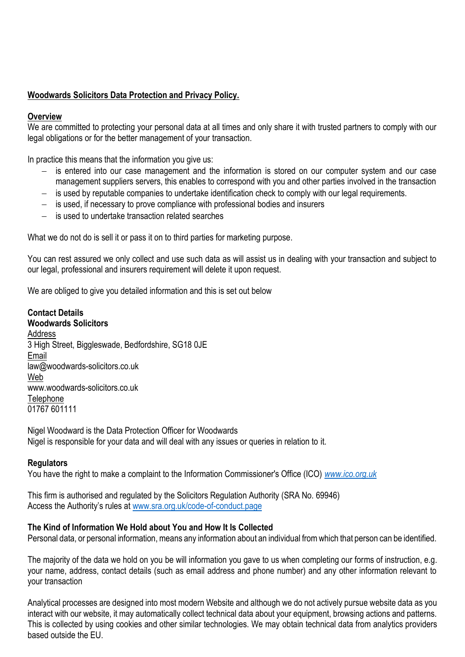# **Woodwards Solicitors Data Protection and Privacy Policy.**

## **Overview**

We are committed to protecting your personal data at all times and only share it with trusted partners to comply with our legal obligations or for the better management of your transaction.

In practice this means that the information you give us:

- − is entered into our case management and the information is stored on our computer system and our case management suppliers servers, this enables to correspond with you and other parties involved in the transaction
- − is used by reputable companies to undertake identification check to comply with our legal requirements.
- − is used, if necessary to prove compliance with professional bodies and insurers
- − is used to undertake transaction related searches

What we do not do is sell it or pass it on to third parties for marketing purpose.

You can rest assured we only collect and use such data as will assist us in dealing with your transaction and subject to our legal, professional and insurers requirement will delete it upon request.

We are obliged to give you detailed information and this is set out below

**Contact Details Woodwards Solicitors** Address 3 High Street, Biggleswade, Bedfordshire, SG18 0JE Email law@woodwards-solicitors.co.uk Web www.woodwards-solicitors.co.uk **Telephone** 01767 601111

Nigel Woodward is the Data Protection Officer for Woodwards Nigel is responsible for your data and will deal with any issues or queries in relation to it.

### **Regulators**

You have the right to make a complaint to the Information Commissioner's Office (ICO) *[www.ico.org.uk](http://www.ico.org.uk/)*

This firm is authorised and regulated by the Solicitors Regulation Authority (SRA No. 69946) Access the Authority's rules at [www.sra.org.uk/code-of-conduct.page](http://www.sra.org.uk/code-of-conduct.page)

## **The Kind of Information We Hold about You and How It Is Collected**

Personal data, or personal information, means any information about an individual from which that person can be identified.

The majority of the data we hold on you be will information you gave to us when completing our forms of instruction, e.g. your name, address, contact details (such as email address and phone number) and any other information relevant to your transaction

Analytical processes are designed into most modern Website and although we do not actively pursue website data as you interact with our website, it may automatically collect technical data about your equipment, browsing actions and patterns. This is collected by using cookies and other similar technologies. We may obtain technical data from analytics providers based outside the EU.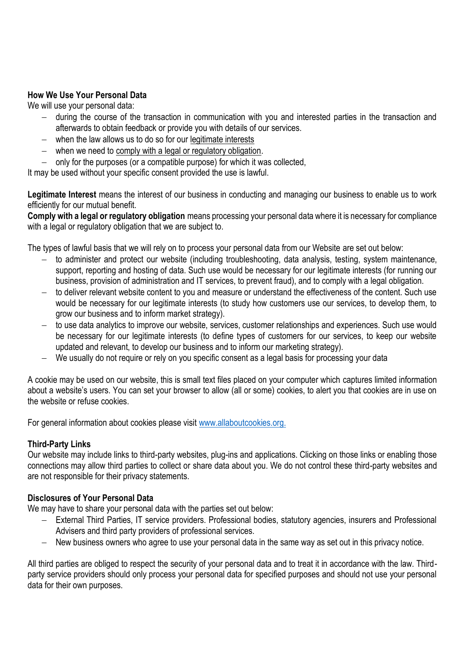# **How We Use Your Personal Data**

We will use your personal data:

- − during the course of the transaction in communication with you and interested parties in the transaction and afterwards to obtain feedback or provide you with details of our services.
- − when the law allows us to do so for our legitimate interests
- − when we need to comply with a legal or regulatory obligation.
- − only for the purposes (or a compatible purpose) for which it was collected,

It may be used without your specific consent provided the use is lawful.

**Legitimate Interest** means the interest of our business in conducting and managing our business to enable us to work efficiently for our mutual benefit.

**Comply with a legal or regulatory obligation** means processing your personal data where it is necessary for compliance with a legal or regulatory obligation that we are subject to.

The types of lawful basis that we will rely on to process your personal data from our Website are set out below:

- − to administer and protect our website (including troubleshooting, data analysis, testing, system maintenance, support, reporting and hosting of data. Such use would be necessary for our legitimate interests (for running our business, provision of administration and IT services, to prevent fraud), and to comply with a legal obligation.
- − to deliver relevant website content to you and measure or understand the effectiveness of the content. Such use would be necessary for our legitimate interests (to study how customers use our services, to develop them, to grow our business and to inform market strategy).
- to use data analytics to improve our website, services, customer relationships and experiences. Such use would be necessary for our legitimate interests (to define types of customers for our services, to keep our website updated and relevant, to develop our business and to inform our marketing strategy).
- − We usually do not require or rely on you specific consent as a legal basis for processing your data

A cookie may be used on our website, this is small text files placed on your computer which captures limited information about a website's users. You can set your browser to allow (all or some) cookies, to alert you that cookies are in use on the website or refuse cookies.

For general information about cookies please visit [www.allaboutcookies.org.](http://www.allaboutcookies.org/)

## **Third-Party Links**

Our website may include links to third-party websites, plug-ins and applications. Clicking on those links or enabling those connections may allow third parties to collect or share data about you. We do not control these third-party websites and are not responsible for their privacy statements.

## **Disclosures of Your Personal Data**

We may have to share your personal data with the parties set out below:

- − External Third Parties, IT service providers. Professional bodies, statutory agencies, insurers and Professional Advisers and third party providers of professional services.
- − New business owners who agree to use your personal data in the same way as set out in this privacy notice.

All third parties are obliged to respect the security of your personal data and to treat it in accordance with the law. Thirdparty service providers should only process your personal data for specified purposes and should not use your personal data for their own purposes.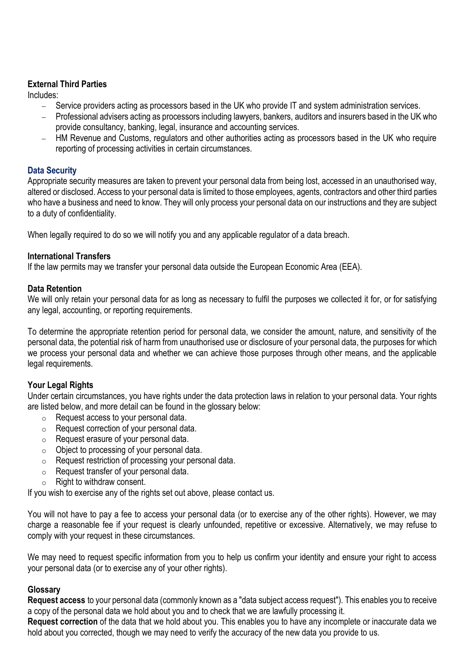# **External Third Parties**

Includes:

- Service providers acting as processors based in the UK who provide IT and system administration services.
- − Professional advisers acting as processors including lawyers, bankers, auditors and insurers based in the UK who provide consultancy, banking, legal, insurance and accounting services.
- HM Revenue and Customs, regulators and other authorities acting as processors based in the UK who require reporting of processing activities in certain circumstances.

# **Data Security**

Appropriate security measures are taken to prevent your personal data from being lost, accessed in an unauthorised way, altered or disclosed. Access to your personal data is limited to those employees, agents, contractors and other third parties who have a business and need to know. They will only process your personal data on our instructions and they are subject to a duty of confidentiality.

When legally required to do so we will notify you and any applicable regulator of a data breach.

# **International Transfers**

If the law permits may we transfer your personal data outside the European Economic Area (EEA).

# **Data Retention**

We will only retain your personal data for as long as necessary to fulfil the purposes we collected it for, or for satisfying any legal, accounting, or reporting requirements.

To determine the appropriate retention period for personal data, we consider the amount, nature, and sensitivity of the personal data, the potential risk of harm from unauthorised use or disclosure of your personal data, the purposes for which we process your personal data and whether we can achieve those purposes through other means, and the applicable legal requirements.

# **Your Legal Rights**

Under certain circumstances, you have rights under the data protection laws in relation to your personal data. Your rights are listed below, and more detail can be found in the glossary below:

- o Request access to your personal data.
- o Request correction of your personal data.
- o Request erasure of your personal data.
- $\circ$  Object to processing of your personal data.
- o Request restriction of processing your personal data.
- o Request transfer of your personal data.
- o Right to withdraw consent.

If you wish to exercise any of the rights set out above, please contact us.

You will not have to pay a fee to access your personal data (or to exercise any of the other rights). However, we may charge a reasonable fee if your request is clearly unfounded, repetitive or excessive. Alternatively, we may refuse to comply with your request in these circumstances.

We may need to request specific information from you to help us confirm your identity and ensure your right to access your personal data (or to exercise any of your other rights).

# **Glossary**

**Request access** to your personal data (commonly known as a "data subject access request"). This enables you to receive a copy of the personal data we hold about you and to check that we are lawfully processing it.

**Request correction** of the data that we hold about you. This enables you to have any incomplete or inaccurate data we hold about you corrected, though we may need to verify the accuracy of the new data you provide to us.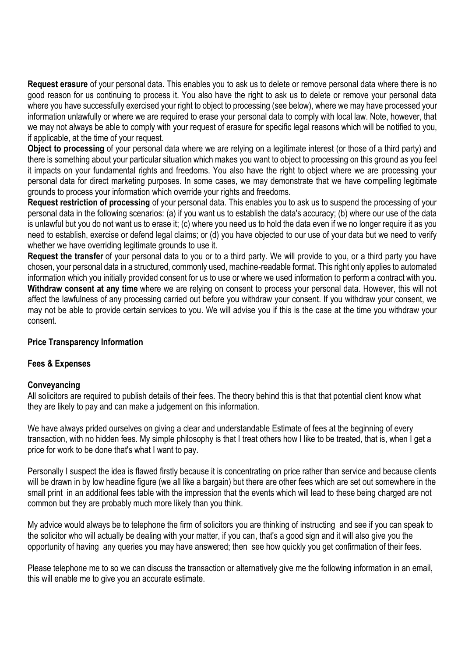**Request erasure** of your personal data. This enables you to ask us to delete or remove personal data where there is no good reason for us continuing to process it. You also have the right to ask us to delete or remove your personal data where you have successfully exercised your right to object to processing (see below), where we may have processed your information unlawfully or where we are required to erase your personal data to comply with local law. Note, however, that we may not always be able to comply with your request of erasure for specific legal reasons which will be notified to you, if applicable, at the time of your request.

**Object to processing** of your personal data where we are relying on a legitimate interest (or those of a third party) and there is something about your particular situation which makes you want to object to processing on this ground as you feel it impacts on your fundamental rights and freedoms. You also have the right to object where we are processing your personal data for direct marketing purposes. In some cases, we may demonstrate that we have compelling legitimate grounds to process your information which override your rights and freedoms.

**Request restriction of processing** of your personal data. This enables you to ask us to suspend the processing of your personal data in the following scenarios: (a) if you want us to establish the data's accuracy; (b) where our use of the data is unlawful but you do not want us to erase it; (c) where you need us to hold the data even if we no longer require it as you need to establish, exercise or defend legal claims; or (d) you have objected to our use of your data but we need to verify whether we have overriding legitimate grounds to use it.

**Request the transfer** of your personal data to you or to a third party. We will provide to you, or a third party you have chosen, your personal data in a structured, commonly used, machine-readable format. This right only applies to automated information which you initially provided consent for us to use or where we used information to perform a contract with you. **Withdraw consent at any time** where we are relying on consent to process your personal data. However, this will not affect the lawfulness of any processing carried out before you withdraw your consent. If you withdraw your consent, we may not be able to provide certain services to you. We will advise you if this is the case at the time you withdraw your consent.

## **Price Transparency Information**

### **Fees & Expenses**

### **Conveyancing**

All solicitors are required to publish details of their fees. The theory behind this is that that potential client know what they are likely to pay and can make a judgement on this information.

We have always prided ourselves on giving a clear and understandable Estimate of fees at the beginning of every transaction, with no hidden fees. My simple philosophy is that I treat others how I like to be treated, that is, when I get a price for work to be done that's what I want to pay.

Personally I suspect the idea is flawed firstly because it is concentrating on price rather than service and because clients will be drawn in by low headline figure (we all like a bargain) but there are other fees which are set out somewhere in the small print in an additional fees table with the impression that the events which will lead to these being charged are not common but they are probably much more likely than you think.

My advice would always be to telephone the firm of solicitors you are thinking of instructing and see if you can speak to the solicitor who will actually be dealing with your matter, if you can, that's a good sign and it will also give you the opportunity of having any queries you may have answered; then see how quickly you get confirmation of their fees.

Please telephone me to so we can discuss the transaction or alternatively give me the following information in an email, this will enable me to give you an accurate estimate.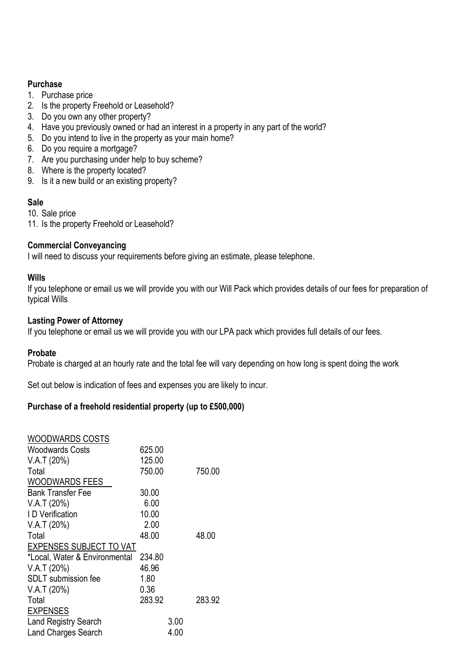## **Purchase**

- 1. Purchase price
- 2. Is the property Freehold or Leasehold?
- 3. Do you own any other property?
- 4. Have you previously owned or had an interest in a property in any part of the world?
- 5. Do you intend to live in the property as your main home?
- 6. Do you require a mortgage?
- 7. Are you purchasing under help to buy scheme?
- 8. Where is the property located?
- 9. Is it a new build or an existing property?

# **Sale**

10. Sale price

11. Is the property Freehold or Leasehold?

## **Commercial Conveyancing**

I will need to discuss your requirements before giving an estimate, please telephone.

## **Wills**

If you telephone or email us we will provide you with our Will Pack which provides details of our fees for preparation of typical Wills

## **Lasting Power of Attorney**

If you telephone or email us we will provide you with our LPA pack which provides full details of our fees.

### **Probate**

Probate is charged at an hourly rate and the total fee will vary depending on how long is spent doing the work

Set out below is indication of fees and expenses you are likely to incur.

## **Purchase of a freehold residential property (up to £500,000)**

| WOODWARDS COSTS                |        |      |        |
|--------------------------------|--------|------|--------|
| <b>Woodwards Costs</b>         | 625.00 |      |        |
| V.A.T (20%)                    | 125.00 |      |        |
| Total                          | 750.00 |      | 750.00 |
| <b>WOODWARDS FEES</b>          |        |      |        |
| <b>Bank Transfer Fee</b>       | 30.00  |      |        |
| V.A.T (20%)                    | 6.00   |      |        |
| <b>ID</b> Verification         | 10.00  |      |        |
| V.A.T (20%)                    | 2.00   |      |        |
| Total                          | 48.00  |      | 48.00  |
| <b>EXPENSES SUBJECT TO VAT</b> |        |      |        |
| *Local, Water & Environmental  | 234.80 |      |        |
| V.A.T (20%)                    | 46.96  |      |        |
| <b>SDLT</b> submission fee     | 1.80   |      |        |
| V.A.T (20%)                    | 0.36   |      |        |
| Total                          | 283.92 |      | 283.92 |
| <b>EXPENSES</b>                |        |      |        |
| <b>Land Registry Search</b>    |        | 3.00 |        |
| <b>Land Charges Search</b>     |        | 4.00 |        |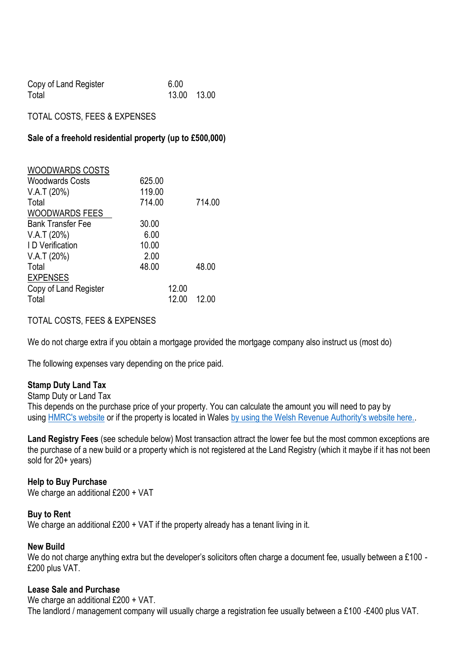| Copy of Land Register | 6.00        |  |  |
|-----------------------|-------------|--|--|
| Total                 | 13.00 13.00 |  |  |

TOTAL COSTS, FEES & EXPENSES

## **Sale of a freehold residential property (up to £500,000)**

| <b>WOODWARDS COSTS</b>   |        |        |
|--------------------------|--------|--------|
| <b>Woodwards Costs</b>   | 625.00 |        |
| V.A.T (20%)              | 119.00 |        |
| Total                    | 714.00 | 714.00 |
| <b>WOODWARDS FEES</b>    |        |        |
| <b>Bank Transfer Fee</b> | 30.00  |        |
| V.A.T (20%)              | 6.00   |        |
| I D Verification         | 10.00  |        |
| V.A.T (20%)              | 2.00   |        |
| Total                    | 48.00  | 48.00  |
| <b>EXPENSES</b>          |        |        |
| Copy of Land Register    | 12.00  |        |
| Total                    | 12.00  | 12.00  |
|                          |        |        |

## TOTAL COSTS, FEES & EXPENSES

We do not charge extra if you obtain a mortgage provided the mortgage company also instruct us (most do)

The following expenses vary depending on the price paid.

### **Stamp Duty Land Tax**

#### Stamp Duty or Land Tax

This depends on the purchase price of your property. You can calculate the amount you will need to pay by using [HMRC's website](https://www.tax.service.gov.uk/calculate-stamp-duty-land-tax/#/intro) or if the property is located in Wales [by using the Welsh Revenue Authority's website here..](https://beta.gov.wales/land-transaction-tax-calculator)

**Land Registry Fees** (see schedule below) Most transaction attract the lower fee but the most common exceptions are the purchase of a new build or a property which is not registered at the Land Registry (which it maybe if it has not been sold for 20+ years)

## **Help to Buy Purchase**

We charge an additional £200 + VAT

### **Buy to Rent**

We charge an additional £200 + VAT if the property already has a tenant living in it.

#### **New Build**

We do not charge anything extra but the developer's solicitors often charge a document fee, usually between a £100 -£200 plus VAT.

#### **Lease Sale and Purchase**

We charge an additional £200 + VAT. The landlord / management company will usually charge a registration fee usually between a £100 -£400 plus VAT.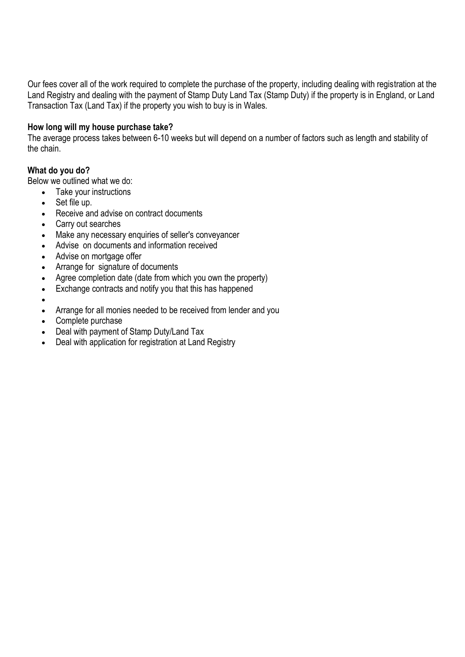Our fees cover all of the work required to complete the purchase of the property, including dealing with registration at the Land Registry and dealing with the payment of Stamp Duty Land Tax (Stamp Duty) if the property is in England, or Land Transaction Tax (Land Tax) if the property you wish to buy is in Wales.

## **How long will my house purchase take?**

The average process takes between 6-10 weeks but will depend on a number of factors such as length and stability of the chain.

## **What do you do?**

Below we outlined what we do:

- Take your instructions
- Set file up.
- Receive and advise on contract documents
- Carry out searches
- Make any necessary enquiries of seller's conveyancer
- Advise on documents and information received
- Advise on mortgage offer
- Arrange for signature of documents
- Agree completion date (date from which you own the property)
- Exchange contracts and notify you that this has happened
- •
- Arrange for all monies needed to be received from lender and you
- Complete purchase
- Deal with payment of Stamp Duty/Land Tax
- Deal with application for registration at Land Registry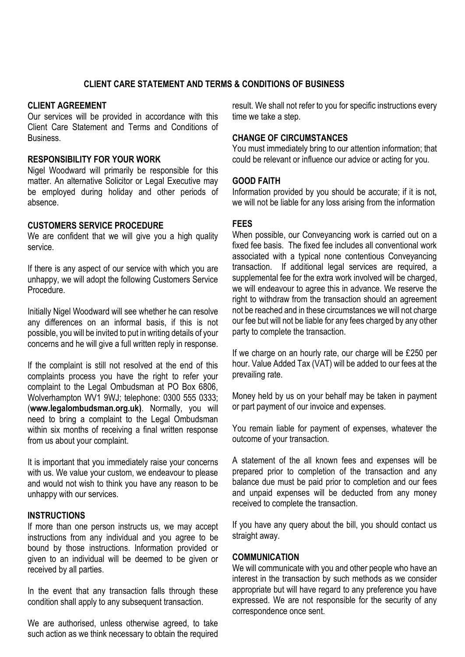## **CLIENT CARE STATEMENT AND TERMS & CONDITIONS OF BUSINESS**

### **CLIENT AGREEMENT**

Our services will be provided in accordance with this Client Care Statement and Terms and Conditions of **Business** 

## **RESPONSIBILITY FOR YOUR WORK**

Nigel Woodward will primarily be responsible for this matter. An alternative Solicitor or Legal Executive may be employed during holiday and other periods of absence.

#### **CUSTOMERS SERVICE PROCEDURE**

We are confident that we will give you a high quality service.

If there is any aspect of our service with which you are unhappy, we will adopt the following Customers Service **Procedure** 

Initially Nigel Woodward will see whether he can resolve any differences on an informal basis, if this is not possible, you will be invited to put in writing details of your concerns and he will give a full written reply in response.

If the complaint is still not resolved at the end of this complaints process you have the right to refer your complaint to the Legal Ombudsman at PO Box 6806, Wolverhampton WV1 9WJ; telephone: 0300 555 0333; (**www.legalombudsman.org.uk)**. Normally, you will need to bring a complaint to the Legal Ombudsman within six months of receiving a final written response from us about your complaint.

It is important that you immediately raise your concerns with us. We value your custom, we endeavour to please and would not wish to think you have any reason to be unhappy with our services.

### **INSTRUCTIONS**

If more than one person instructs us, we may accept instructions from any individual and you agree to be bound by those instructions. Information provided or given to an individual will be deemed to be given or received by all parties.

In the event that any transaction falls through these condition shall apply to any subsequent transaction.

We are authorised, unless otherwise agreed, to take such action as we think necessary to obtain the required result. We shall not refer to you for specific instructions every time we take a step.

## **CHANGE OF CIRCUMSTANCES**

You must immediately bring to our attention information; that could be relevant or influence our advice or acting for you.

#### **GOOD FAITH**

Information provided by you should be accurate; if it is not, we will not be liable for any loss arising from the information

#### **FEES**

When possible, our Conveyancing work is carried out on a fixed fee basis. The fixed fee includes all conventional work associated with a typical none contentious Conveyancing transaction. If additional legal services are required, a supplemental fee for the extra work involved will be charged, we will endeavour to agree this in advance. We reserve the right to withdraw from the transaction should an agreement not be reached and in these circumstances we will not charge our fee but will not be liable for any fees charged by any other party to complete the transaction.

If we charge on an hourly rate, our charge will be £250 per hour. Value Added Tax (VAT) will be added to our fees at the prevailing rate.

Money held by us on your behalf may be taken in payment or part payment of our invoice and expenses.

You remain liable for payment of expenses, whatever the outcome of your transaction.

A statement of the all known fees and expenses will be prepared prior to completion of the transaction and any balance due must be paid prior to completion and our fees and unpaid expenses will be deducted from any money received to complete the transaction.

If you have any query about the bill, you should contact us straight away.

#### **COMMUNICATION**

We will communicate with you and other people who have an interest in the transaction by such methods as we consider appropriate but will have regard to any preference you have expressed. We are not responsible for the security of any correspondence once sent.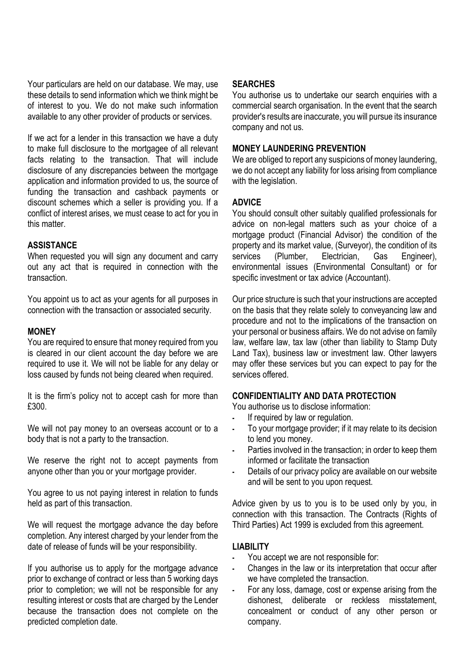Your particulars are held on our database. We may, use these details to send information which we think might be of interest to you. We do not make such information available to any other provider of products or services.

If we act for a lender in this transaction we have a duty to make full disclosure to the mortgagee of all relevant facts relating to the transaction. That will include disclosure of any discrepancies between the mortgage application and information provided to us, the source of funding the transaction and cashback payments or discount schemes which a seller is providing you. If a conflict of interest arises, we must cease to act for you in this matter.

## **ASSISTANCE**

When requested you will sign any document and carry out any act that is required in connection with the transaction.

You appoint us to act as your agents for all purposes in connection with the transaction or associated security.

### **MONEY**

You are required to ensure that money required from you is cleared in our client account the day before we are required to use it. We will not be liable for any delay or loss caused by funds not being cleared when required.

It is the firm's policy not to accept cash for more than £300.

We will not pay money to an overseas account or to a body that is not a party to the transaction.

We reserve the right not to accept payments from anyone other than you or your mortgage provider.

You agree to us not paying interest in relation to funds held as part of this transaction.

We will request the mortgage advance the day before completion. Any interest charged by your lender from the date of release of funds will be your responsibility.

If you authorise us to apply for the mortgage advance prior to exchange of contract or less than 5 working days prior to completion; we will not be responsible for any resulting interest or costs that are charged by the Lender because the transaction does not complete on the predicted completion date.

## **SEARCHES**

You authorise us to undertake our search enquiries with a commercial search organisation. In the event that the search provider's results are inaccurate, you will pursue its insurance company and not us.

## **MONEY LAUNDERING PREVENTION**

We are obliged to report any suspicions of money laundering, we do not accept any liability for loss arising from compliance with the legislation.

## **ADVICE**

You should consult other suitably qualified professionals for advice on non-legal matters such as your choice of a mortgage product (Financial Advisor) the condition of the property and its market value, (Surveyor), the condition of its services (Plumber, Electrician, Gas Engineer), environmental issues (Environmental Consultant) or for specific investment or tax advice (Accountant).

Our price structure is such that your instructions are accepted on the basis that they relate solely to conveyancing law and procedure and not to the implications of the transaction on your personal or business affairs. We do not advise on family law, welfare law, tax law (other than liability to Stamp Duty Land Tax), business law or investment law. Other lawyers may offer these services but you can expect to pay for the services offered.

### **CONFIDENTIALITY AND DATA PROTECTION**

You authorise us to disclose information:

- **-** If required by law or regulation.
- **-** To your mortgage provider; if it may relate to its decision to lend you money.
- **-** Parties involved in the transaction; in order to keep them informed or facilitate the transaction
- **-** Details of our privacy policy are available on our website and will be sent to you upon request.

Advice given by us to you is to be used only by you, in connection with this transaction. The Contracts (Rights of Third Parties) Act 1999 is excluded from this agreement.

### **LIABILITY**

- **-** You accept we are not responsible for:
- **-** Changes in the law or its interpretation that occur after we have completed the transaction.
- **-** For any loss, damage, cost or expense arising from the dishonest, deliberate or reckless misstatement, concealment or conduct of any other person or company.